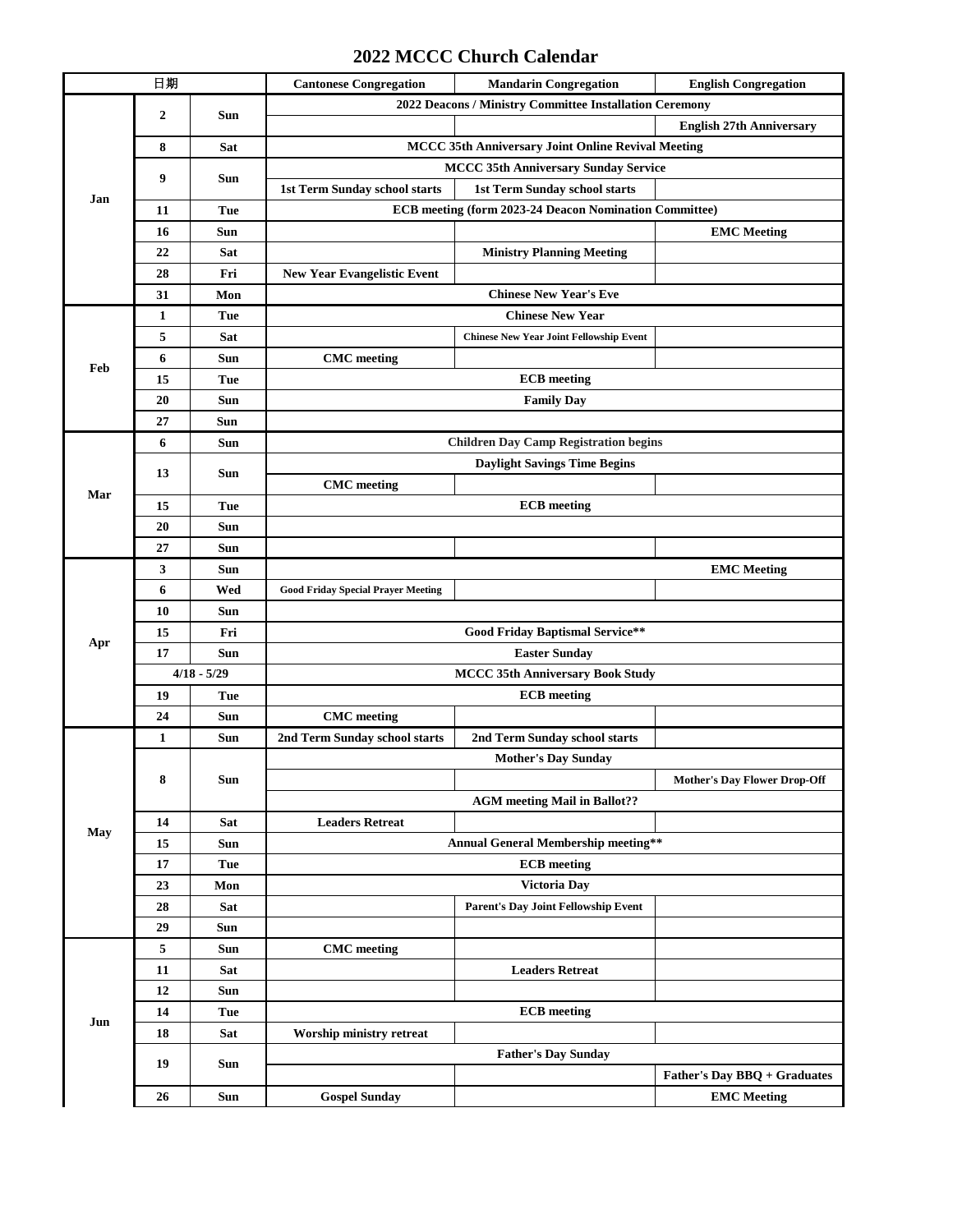## **2022 MCCC Church Calendar**

| 日期  |                  |            | <b>Cantonese Congregation</b>                             | <b>Mandarin Congregation</b>                   | <b>English Congregation</b>         |  |  |
|-----|------------------|------------|-----------------------------------------------------------|------------------------------------------------|-------------------------------------|--|--|
| Jan | $\overline{2}$   | Sun        | 2022 Deacons / Ministry Committee Installation Ceremony   |                                                |                                     |  |  |
|     |                  |            |                                                           |                                                | <b>English 27th Anniversary</b>     |  |  |
|     | 8                | Sat        | <b>MCCC 35th Anniversary Joint Online Revival Meeting</b> |                                                |                                     |  |  |
|     | 9                | Sun        | <b>MCCC 35th Anniversary Sunday Service</b>               |                                                |                                     |  |  |
|     |                  |            | 1st Term Sunday school starts                             | 1st Term Sunday school starts                  |                                     |  |  |
|     | 11               | Tue        | ECB meeting (form 2023-24 Deacon Nomination Committee)    |                                                |                                     |  |  |
|     | 16               | Sun        |                                                           |                                                | <b>EMC</b> Meeting                  |  |  |
|     | 22               | Sat        |                                                           | <b>Ministry Planning Meeting</b>               |                                     |  |  |
|     | 28               | Fri        | <b>New Year Evangelistic Event</b>                        |                                                |                                     |  |  |
|     | 31               | Mon        | <b>Chinese New Year's Eve</b>                             |                                                |                                     |  |  |
|     | 1                | Tue        | <b>Chinese New Year</b>                                   |                                                |                                     |  |  |
|     | 5                | <b>Sat</b> |                                                           | <b>Chinese New Year Joint Fellowship Event</b> |                                     |  |  |
| Feb | 6                | Sun        | <b>CMC</b> meeting                                        |                                                |                                     |  |  |
|     | 15               | Tue        | <b>ECB</b> meeting                                        |                                                |                                     |  |  |
|     | 20               | Sun        | <b>Family Day</b>                                         |                                                |                                     |  |  |
|     | 27               | Sun        |                                                           |                                                |                                     |  |  |
|     | 6                | Sun        | <b>Children Day Camp Registration begins</b>              |                                                |                                     |  |  |
|     | 13               | Sun        | <b>Daylight Savings Time Begins</b>                       |                                                |                                     |  |  |
| Mar |                  |            | <b>CMC</b> meeting                                        |                                                |                                     |  |  |
|     | 15               | Tue        | <b>ECB</b> meeting                                        |                                                |                                     |  |  |
|     | 20               | Sun        |                                                           |                                                |                                     |  |  |
|     | 27               | Sun        |                                                           |                                                |                                     |  |  |
|     | 3                | <b>Sun</b> |                                                           |                                                | <b>EMC</b> Meeting                  |  |  |
|     | 6                | Wed        | <b>Good Friday Special Prayer Meeting</b>                 |                                                |                                     |  |  |
|     | 10               | Sun        |                                                           |                                                |                                     |  |  |
| Apr | 15               | Fri        | <b>Good Friday Baptismal Service**</b>                    |                                                |                                     |  |  |
|     | 17<br><b>Sun</b> |            | <b>Easter Sunday</b>                                      |                                                |                                     |  |  |
|     | $4/18 - 5/29$    |            | <b>MCCC 35th Anniversary Book Study</b>                   |                                                |                                     |  |  |
|     | 19               | Tue        | <b>ECB</b> meeting                                        |                                                |                                     |  |  |
|     | 24               | Sun        | <b>CMC</b> meeting                                        |                                                |                                     |  |  |
|     | $\mathbf{1}$     | Sun        | 2nd Term Sunday school starts                             | 2nd Term Sunday school starts                  |                                     |  |  |
|     | 8                | <b>Sun</b> |                                                           | <b>Mother's Day Sunday</b>                     |                                     |  |  |
|     |                  |            |                                                           |                                                | <b>Mother's Day Flower Drop-Off</b> |  |  |
|     |                  |            |                                                           | <b>AGM</b> meeting Mail in Ballot??            |                                     |  |  |
| May | 14               | Sat        | <b>Leaders Retreat</b>                                    |                                                |                                     |  |  |
|     | 15               | Sun        | <b>Annual General Membership meeting**</b>                |                                                |                                     |  |  |
|     | 17               | Tue        | <b>ECB</b> meeting                                        |                                                |                                     |  |  |
|     | 23               | Mon        |                                                           | Victoria Day                                   |                                     |  |  |
|     | 28               | <b>Sat</b> |                                                           | Parent's Day Joint Fellowship Event            |                                     |  |  |
|     | 29               | <b>Sun</b> |                                                           |                                                |                                     |  |  |
| Jun | 5                | Sun        | <b>CMC</b> meeting                                        |                                                |                                     |  |  |
|     | 11               | Sat        |                                                           | <b>Leaders Retreat</b>                         |                                     |  |  |
|     | 12               | Sun        |                                                           |                                                |                                     |  |  |
|     | 14               | Tue        |                                                           | <b>ECB</b> meeting                             |                                     |  |  |
|     | 18               | <b>Sat</b> | Worship ministry retreat                                  |                                                |                                     |  |  |
|     | 19               | <b>Sun</b> | <b>Father's Day Sunday</b>                                |                                                |                                     |  |  |
|     |                  |            |                                                           |                                                | Father's Day BBQ + Graduates        |  |  |
|     | 26               | Sun        | <b>Gospel Sunday</b>                                      |                                                | <b>EMC</b> Meeting                  |  |  |